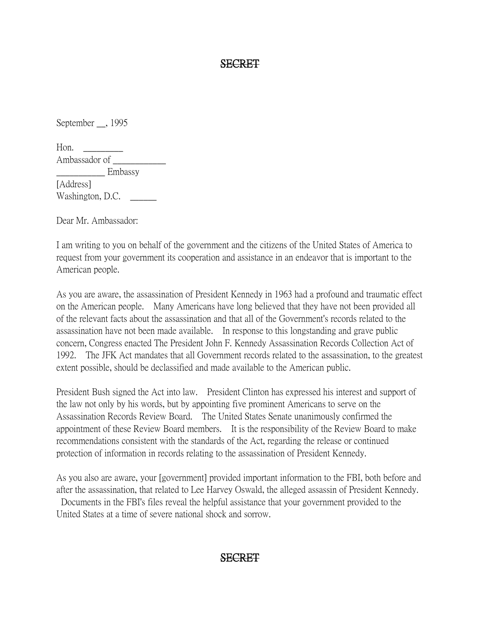#### SECRET

September \_\_, 1995

Hon.  $\qquad \qquad$ Ambassador of \_\_\_\_\_\_\_\_\_\_\_\_

Embassy [Address] Washington, D.C.

Dear Mr. Ambassador:

I am writing to you on behalf of the government and the citizens of the United States of America to request from your government its cooperation and assistance in an endeavor that is important to the American people.

As you are aware, the assassination of President Kennedy in 1963 had a profound and traumatic effect on the American people. Many Americans have long believed that they have not been provided all of the relevant facts about the assassination and that all of the Government's records related to the assassination have not been made available. In response to this longstanding and grave public concern, Congress enacted The President John F. Kennedy Assassination Records Collection Act of 1992. The JFK Act mandates that all Government records related to the assassination, to the greatest extent possible, should be declassified and made available to the American public.

President Bush signed the Act into law. President Clinton has expressed his interest and support of the law not only by his words, but by appointing five prominent Americans to serve on the Assassination Records Review Board. The United States Senate unanimously confirmed the appointment of these Review Board members. It is the responsibility of the Review Board to make recommendations consistent with the standards of the Act, regarding the release or continued protection of information in records relating to the assassination of President Kennedy.

As you also are aware, your [government] provided important information to the FBI, both before and after the assassination, that related to Lee Harvey Oswald, the alleged assassin of President Kennedy. Documents in the FBI's files reveal the helpful assistance that your government provided to the

United States at a time of severe national shock and sorrow.

## SECRET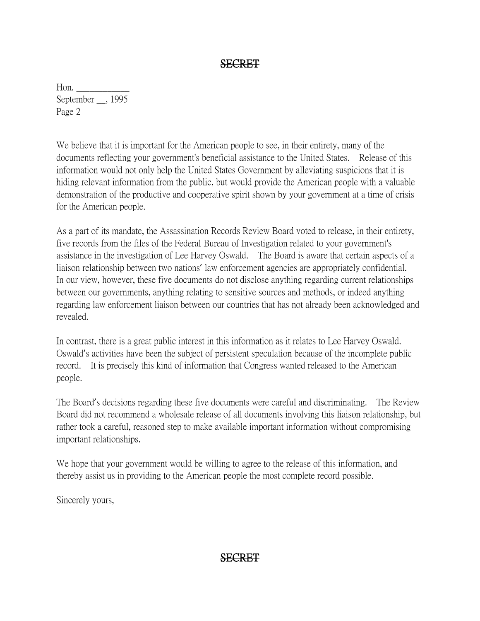### SECRET

Hon. September \_\_, 1995 Page 2

We believe that it is important for the American people to see, in their entirety, many of the documents reflecting your government's beneficial assistance to the United States. Release of this information would not only help the United States Government by alleviating suspicions that it is hiding relevant information from the public, but would provide the American people with a valuable demonstration of the productive and cooperative spirit shown by your government at a time of crisis for the American people.

As a part of its mandate, the Assassination Records Review Board voted to release, in their entirety, five records from the files of the Federal Bureau of Investigation related to your government's assistance in the investigation of Lee Harvey Oswald. The Board is aware that certain aspects of a liaison relationship between two nations' law enforcement agencies are appropriately confidential. In our view, however, these five documents do not disclose anything regarding current relationships between our governments, anything relating to sensitive sources and methods, or indeed anything regarding law enforcement liaison between our countries that has not already been acknowledged and revealed.

In contrast, there is a great public interest in this information as it relates to Lee Harvey Oswald. Oswald's activities have been the subject of persistent speculation because of the incomplete public record. It is precisely this kind of information that Congress wanted released to the American people.

The Board's decisions regarding these five documents were careful and discriminating. The Review Board did not recommend a wholesale release of all documents involving this liaison relationship, but rather took a careful, reasoned step to make available important information without compromising important relationships.

We hope that your government would be willing to agree to the release of this information, and thereby assist us in providing to the American people the most complete record possible.

Sincerely yours,

## SECRET